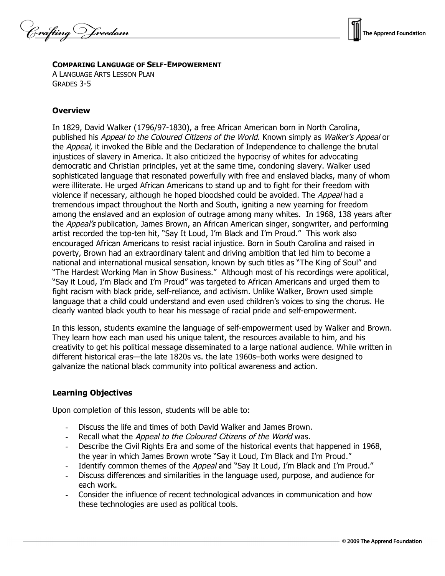Crafting Vreedom



#### **COMPARING LANGUAGE OF SELF-EMPOWERMENT**

A LANGUAGE ARTS LESSON PLAN GRADES 3-5

### **Overview**

In 1829, David Walker (1796/97-1830), a free African American born in North Carolina, published his Appeal to the Coloured Citizens of the World. Known simply as Walker's Appeal or the Appeal, it invoked the Bible and the Declaration of Independence to challenge the brutal injustices of slavery in America. It also criticized the hypocrisy of whites for advocating democratic and Christian principles, yet at the same time, condoning slavery. Walker used sophisticated language that resonated powerfully with free and enslaved blacks, many of whom were illiterate. He urged African Americans to stand up and to fight for their freedom with violence if necessary, although he hoped bloodshed could be avoided. The *Appeal* had a tremendous impact throughout the North and South, igniting a new yearning for freedom among the enslaved and an explosion of outrage among many whites. In 1968, 138 years after the Appeal's publication, James Brown, an African American singer, songwriter, and performing artist recorded the top-ten hit, "Say It Loud, I'm Black and I'm Proud." This work also encouraged African Americans to resist racial injustice. Born in South Carolina and raised in poverty, Brown had an extraordinary talent and driving ambition that led him to become a national and international musical sensation, known by such titles as "The King of Soul" and "The Hardest Working Man in Show Business." Although most of his recordings were apolitical, "Say it Loud, I'm Black and I'm Proud" was targeted to African Americans and urged them to fight racism with black pride, self-reliance, and activism. Unlike Walker, Brown used simple language that a child could understand and even used children's voices to sing the chorus. He clearly wanted black youth to hear his message of racial pride and self-empowerment.

In this lesson, students examine the language of self-empowerment used by Walker and Brown. They learn how each man used his unique talent, the resources available to him, and his creativity to get his political message disseminated to a large national audience. While written in different historical eras—the late 1820s vs. the late 1960s–both works were designed to galvanize the national black community into political awareness and action.

### **Learning Objectives**

Upon completion of this lesson, students will be able to:

- Discuss the life and times of both David Walker and James Brown.
- Recall what the Appeal to the Coloured Citizens of the World was.
- Describe the Civil Rights Era and some of the historical events that happened in 1968, the year in which James Brown wrote "Say it Loud, I'm Black and I'm Proud."
- Identify common themes of the Appeal and "Say It Loud, I'm Black and I'm Proud."
- Discuss differences and similarities in the language used, purpose, and audience for each work.
- Consider the influence of recent technological advances in communication and how these technologies are used as political tools.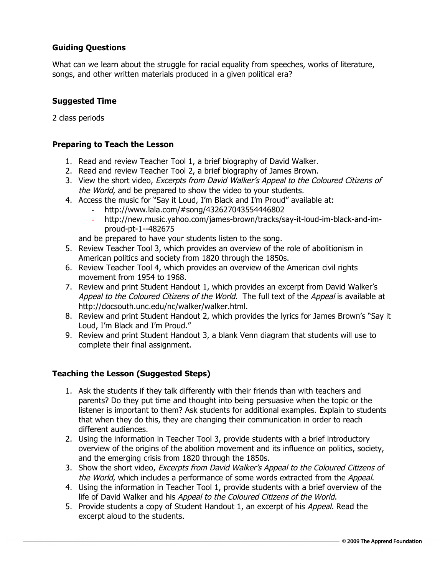# **Guiding Questions**

What can we learn about the struggle for racial equality from speeches, works of literature, songs, and other written materials produced in a given political era?

#### **Suggested Time**

2 class periods

#### **Preparing to Teach the Lesson**

- 1. Read and review Teacher Tool 1, a brief biography of David Walker.
- 2. Read and review Teacher Tool 2, a brief biography of James Brown.
- 3. View the short video, Excerpts from David Walker's Appeal to the Coloured Citizens of the World, and be prepared to show the video to your students.
- 4. Access the music for "Say it Loud, I'm Black and I'm Proud" available at:
	- http://www.lala.com/#song/432627043554446802
	- http://new.music.yahoo.com/james-brown/tracks/say-it-loud-im-black-and-improud-pt-1--482675

and be prepared to have your students listen to the song.

- 5. Review Teacher Tool 3, which provides an overview of the role of abolitionism in American politics and society from 1820 through the 1850s.
- 6. Review Teacher Tool 4, which provides an overview of the American civil rights movement from 1954 to 1968.
- 7. Review and print Student Handout 1, which provides an excerpt from David Walker's Appeal to the Coloured Citizens of the World. The full text of the Appeal is available at http://docsouth.unc.edu/nc/walker/walker.html.
- 8. Review and print Student Handout 2, which provides the lyrics for James Brown's "Say it Loud, I'm Black and I'm Proud."
- 9. Review and print Student Handout 3, a blank Venn diagram that students will use to complete their final assignment.

### **Teaching the Lesson (Suggested Steps)**

- 1. Ask the students if they talk differently with their friends than with teachers and parents? Do they put time and thought into being persuasive when the topic or the listener is important to them? Ask students for additional examples. Explain to students that when they do this, they are changing their communication in order to reach different audiences.
- 2. Using the information in Teacher Tool 3, provide students with a brief introductory overview of the origins of the abolition movement and its influence on politics, society, and the emerging crisis from 1820 through the 1850s.
- 3. Show the short video, Excerpts from David Walker's Appeal to the Coloured Citizens of the World, which includes a performance of some words extracted from the Appeal.
- 4. Using the information in Teacher Tool 1, provide students with a brief overview of the life of David Walker and his Appeal to the Coloured Citizens of the World.
- 5. Provide students a copy of Student Handout 1, an excerpt of his Appeal. Read the excerpt aloud to the students.